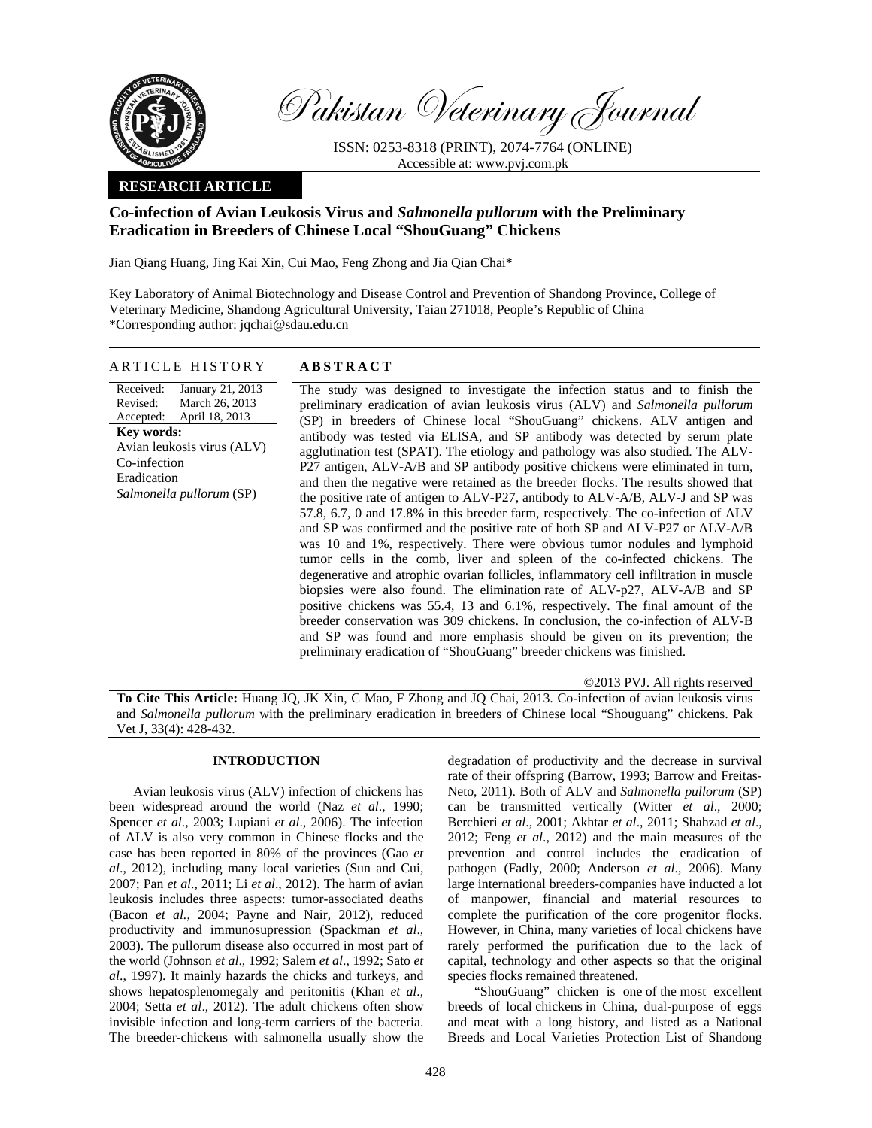

Pakistan Veterinary Journal

ISSN: 0253-8318 (PRINT), 2074-7764 (ONLINE) Accessible at: www.pvj.com.pk

## **RESEARCH ARTICLE**

# **Co-infection of Avian Leukosis Virus and** *Salmonella pullorum* **with the Preliminary Eradication in Breeders of Chinese Local "ShouGuang" Chickens**

Jian Qiang Huang, Jing Kai Xin, Cui Mao, Feng Zhong and Jia Qian Chai\*

Key Laboratory of Animal Biotechnology and Disease Control and Prevention of Shandong Province, College of Veterinary Medicine, Shandong Agricultural University, Taian 271018, People's Republic of China \*Corresponding author: jqchai@sdau.edu.cn

## ARTICLE HISTORY **ABSTRACT**

Received: Revised: Accepted: January 21, 2013 March 26, 2013 April 18, 2013 **Key words:**  Avian leukosis virus (ALV) Co-infection Eradication *Salmonella pullorum* (SP)

 The study was designed to investigate the infection status and to finish the preliminary eradication of avian leukosis virus (ALV) and *Salmonella pullorum* (SP) in breeders of Chinese local "ShouGuang" chickens. ALV antigen and antibody was tested via ELISA, and SP antibody was detected by serum plate agglutination test (SPAT). The etiology and pathology was also studied. The ALV-P27 antigen, ALV-A/B and SP antibody positive chickens were eliminated in turn, and then the negative were retained as the breeder flocks. The results showed that the positive rate of antigen to ALV-P27, antibody to ALV-A/B, ALV-J and SP was 57.8, 6.7, 0 and 17.8% in this breeder farm, respectively. The co-infection of ALV and SP was confirmed and the positive rate of both SP and ALV-P27 or ALV-A/B was 10 and 1%, respectively. There were obvious tumor nodules and lymphoid tumor cells in the comb, liver and spleen of the co-infected chickens. The degenerative and atrophic ovarian follicles, inflammatory cell infiltration in muscle biopsies were also found. The elimination rate of ALV-p27, ALV-A/B and SP positive chickens was 55.4, 13 and 6.1%, respectively. The final amount of the breeder conservation was 309 chickens. In conclusion, the co-infection of ALV-B and SP was found and more emphasis should be given on its prevention; the preliminary eradication of "ShouGuang" breeder chickens was finished.

©2013 PVJ. All rights reserved

**To Cite This Article:** Huang JQ, JK Xin, C Mao, F Zhong and JQ Chai, 2013. Co-infection of avian leukosis virus and *Salmonella pullorum* with the preliminary eradication in breeders of Chinese local "Shouguang" chickens. Pak Vet J, 33(4): 428-432.

# **INTRODUCTION**

Avian leukosis virus (ALV) infection of chickens has been widespread around the world (Naz *et al*., 1990; Spencer *et al*., 2003; Lupiani *et al*., 2006). The infection of ALV is also very common in Chinese flocks and the case has been reported in 80% of the provinces (Gao *et al*., 2012), including many local varieties (Sun and Cui, 2007; Pan *et al*., 2011; Li *et al*., 2012). The harm of avian leukosis includes three aspects: tumor-associated deaths (Bacon *et al.*, 2004; Payne and Nair, 2012), reduced productivity and immunosupression (Spackman *et al*., 2003). The pullorum disease also occurred in most part of the world (Johnson *et al*., 1992; Salem *et al*., 1992; Sato *et al*., 1997). It mainly hazards the chicks and turkeys, and shows hepatosplenomegaly and peritonitis (Khan *et al*., 2004; Setta *et al*., 2012). The adult chickens often show invisible infection and long-term carriers of the bacteria. The breeder-chickens with salmonella usually show the

degradation of productivity and the decrease in survival rate of their offspring (Barrow, 1993; Barrow and Freitas-Neto, 2011). Both of ALV and *Salmonella pullorum* (SP) can be transmitted vertically (Witter *et al*., 2000; Berchieri *et al*., 2001; Akhtar *et al*., 2011; Shahzad *et al*., 2012; Feng *et al*., 2012) and the main measures of the prevention and control includes the eradication of pathogen (Fadly, 2000; Anderson *et al*., 2006). Many large international breeders-companies have inducted a lot of manpower, financial and material resources to complete the purification of the core progenitor flocks. However, in China, many varieties of local chickens have rarely performed the purification due to the lack of capital, technology and other aspects so that the original species flocks remained threatened.

"ShouGuang" chicken is one of the most excellent breeds of local chickens in China, dual-purpose of eggs and meat with a long history, and listed as a National Breeds and Local Varieties Protection List of Shandong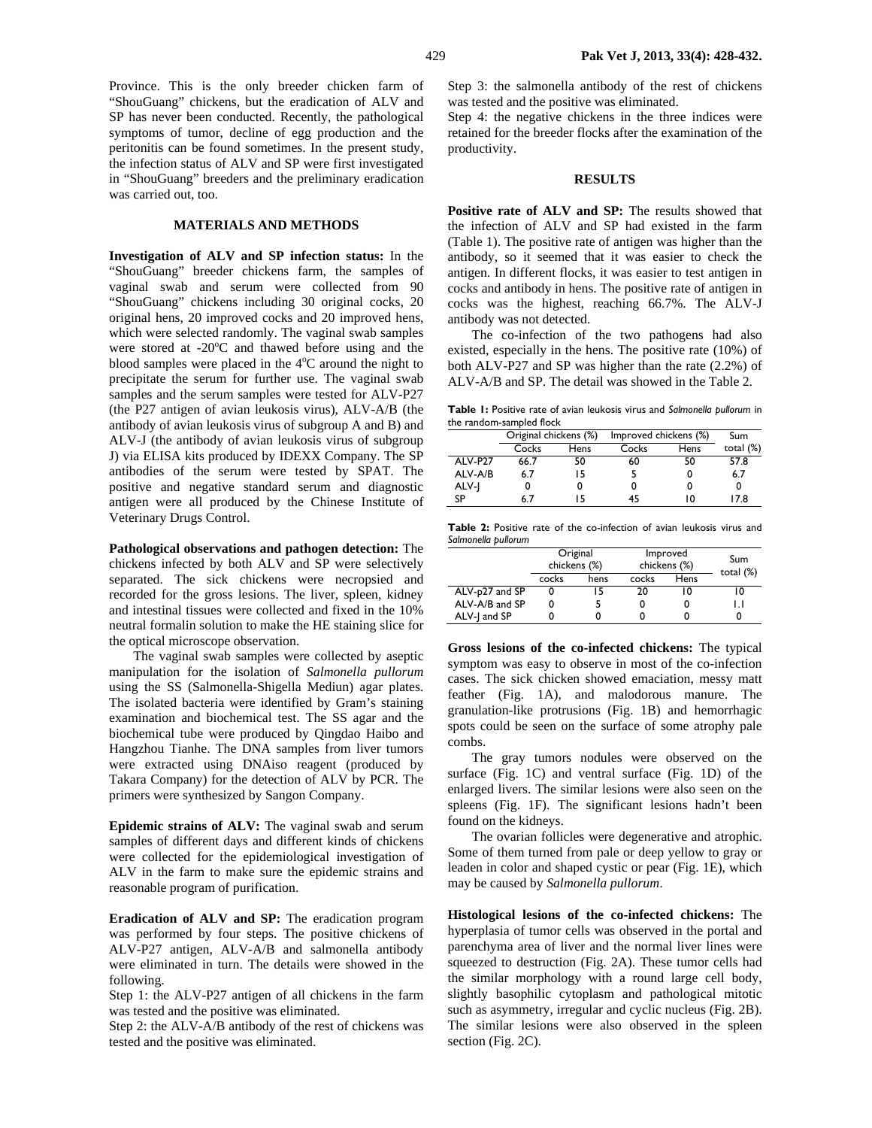Province. This is the only breeder chicken farm of "ShouGuang" chickens, but the eradication of ALV and SP has never been conducted. Recently, the pathological symptoms of tumor, decline of egg production and the peritonitis can be found sometimes. In the present study, the infection status of ALV and SP were first investigated in "ShouGuang" breeders and the preliminary eradication was carried out, too.

#### **MATERIALS AND METHODS**

**Investigation of ALV and SP infection status:** In the "ShouGuang" breeder chickens farm, the samples of vaginal swab and serum were collected from 90 "ShouGuang" chickens including 30 original cocks, 20 original hens, 20 improved cocks and 20 improved hens, which were selected randomly. The vaginal swab samples were stored at -20°C and thawed before using and the blood samples were placed in the 4°C around the night to precipitate the serum for further use. The vaginal swab samples and the serum samples were tested for ALV-P27 (the P27 antigen of avian leukosis virus), ALV-A/B (the antibody of avian leukosis virus of subgroup A and B) and ALV-J (the antibody of avian leukosis virus of subgroup J) via ELISA kits produced by IDEXX Company. The SP antibodies of the serum were tested by SPAT. The positive and negative standard serum and diagnostic antigen were all produced by the Chinese Institute of Veterinary Drugs Control.

**Pathological observations and pathogen detection:** The chickens infected by both ALV and SP were selectively separated. The sick chickens were necropsied and recorded for the gross lesions. The liver, spleen, kidney and intestinal tissues were collected and fixed in the 10% neutral formalin solution to make the HE staining slice for the optical microscope observation.

The vaginal swab samples were collected by aseptic manipulation for the isolation of *Salmonella pullorum* using the SS (Salmonella-Shigella Mediun) agar plates. The isolated bacteria were identified by Gram's staining examination and biochemical test. The SS agar and the biochemical tube were produced by Qingdao Haibo and Hangzhou Tianhe. The DNA samples from liver tumors were extracted using DNAiso reagent (produced by Takara Company) for the detection of ALV by PCR. The primers were synthesized by Sangon Company.

**Epidemic strains of ALV:** The vaginal swab and serum samples of different days and different kinds of chickens were collected for the epidemiological investigation of ALV in the farm to make sure the epidemic strains and reasonable program of purification.

**Eradication of ALV and SP:** The eradication program was performed by four steps. The positive chickens of ALV-P27 antigen, ALV-A/B and salmonella antibody were eliminated in turn. The details were showed in the following.

Step 1: the ALV-P27 antigen of all chickens in the farm was tested and the positive was eliminated.

Step 2: the ALV-A/B antibody of the rest of chickens was tested and the positive was eliminated.

Step 3: the salmonella antibody of the rest of chickens was tested and the positive was eliminated.

Step 4: the negative chickens in the three indices were retained for the breeder flocks after the examination of the productivity.

## **RESULTS**

Positive rate of ALV and SP: The results showed that the infection of ALV and SP had existed in the farm (Table 1). The positive rate of antigen was higher than the antibody, so it seemed that it was easier to check the antigen. In different flocks, it was easier to test antigen in cocks and antibody in hens. The positive rate of antigen in cocks was the highest, reaching 66.7%. The ALV-J antibody was not detected.

The co-infection of the two pathogens had also existed, especially in the hens. The positive rate (10%) of both ALV-P27 and SP was higher than the rate (2.2%) of ALV-A/B and SP. The detail was showed in the Table 2.

**Table 1:** Positive rate of avian leukosis virus and *Salmonella pullorum* in the random-sampled flock

|         | Original chickens (%) |      | Improved chickens (%) |      | Sum          |
|---------|-----------------------|------|-----------------------|------|--------------|
|         | Cocks                 | Hens | Cocks                 | Hens | total $(\%)$ |
| ALV-P27 | 66.7                  | 50   | 60                    | 50   | 57.8         |
| ALV-A/B | 6.7                   | ۱5   |                       |      | 6.7          |
| ALV-J   |                       |      | 0                     |      |              |
| SP      | 6.7                   |      | 45                    | ıο   | 17.8         |

**Table 2:** Positive rate of the co-infection of avian leukosis virus and *Salmonella pullorum*

|                | Original<br>chickens (%) |      | Improved<br>chickens (%) |      | Sum          |
|----------------|--------------------------|------|--------------------------|------|--------------|
|                | cocks                    | hens | cocks                    | Hens | total $(\%)$ |
| ALV-p27 and SP |                          | 15   | 20                       |      | 10           |
| ALV-A/B and SP |                          |      |                          |      |              |
| ALV-I and SP   |                          |      |                          |      |              |

**Gross lesions of the co-infected chickens:** The typical symptom was easy to observe in most of the co-infection cases. The sick chicken showed emaciation, messy matt feather (Fig. 1A), and malodorous manure. The granulation-like protrusions (Fig. 1B) and hemorrhagic spots could be seen on the surface of some atrophy pale combs.

The gray tumors nodules were observed on the surface (Fig. 1C) and ventral surface (Fig. 1D) of the enlarged livers. The similar lesions were also seen on the spleens (Fig. 1F). The significant lesions hadn't been found on the kidneys.

The ovarian follicles were degenerative and atrophic. Some of them turned from pale or deep yellow to gray or leaden in color and shaped cystic or pear (Fig. 1E), which may be caused by *Salmonella pullorum*.

**Histological lesions of the co-infected chickens:** The hyperplasia of tumor cells was observed in the portal and parenchyma area of liver and the normal liver lines were squeezed to destruction (Fig. 2A). These tumor cells had the similar morphology with a round large cell body, slightly basophilic cytoplasm and pathological mitotic such as asymmetry, irregular and cyclic nucleus (Fig. 2B). The similar lesions were also observed in the spleen section (Fig. 2C).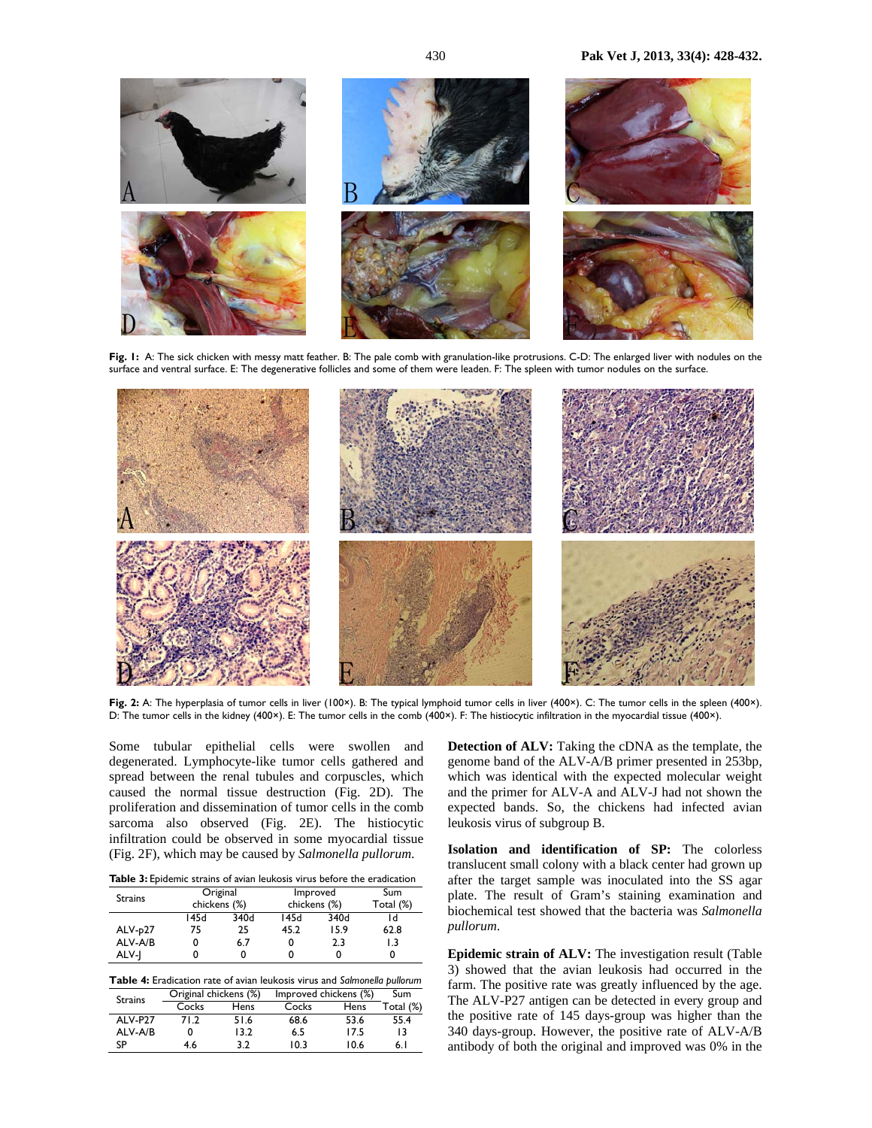

**Fig. 1:** A: The sick chicken with messy matt feather. B: The pale comb with granulation-like protrusions. C-D: The enlarged liver with nodules on the surface and ventral surface. E: The degenerative follicles and some of them were leaden. F: The spleen with tumor nodules on the surface.



**Fig. 2:** A: The hyperplasia of tumor cells in liver (100×). B: The typical lymphoid tumor cells in liver (400×). C: The tumor cells in the spleen (400×). D: The tumor cells in the kidney (400×). E: The tumor cells in the comb (400×). F: The histiocytic infiltration in the myocardial tissue (400×).

Some tubular epithelial cells were swollen and degenerated. Lymphocyte-like tumor cells gathered and spread between the renal tubules and corpuscles, which caused the normal tissue destruction (Fig. 2D). The proliferation and dissemination of tumor cells in the comb sarcoma also observed (Fig. 2E). The histiocytic infiltration could be observed in some myocardial tissue (Fig. 2F), which may be caused by *Salmonella pullorum*.

Table 3: Epidemic strains of avian leukosis virus before the eradication

| <b>Strains</b> | Original     |      | Improved     |      | Sum       |
|----------------|--------------|------|--------------|------|-----------|
|                | chickens (%) |      | chickens (%) |      | Total (%) |
|                | 145d         | 340d | 145d         | 340d |           |
| ALV-p27        | 75           | 25   | 45.2         | 15.9 | 62.8      |
| ALV-A/B        | 0            | 6.7  |              | 2.3  | 1.3       |
| ALV-I          |              |      |              | 0    |           |

**Table 4:** Eradication rate of avian leukosis virus and *Salmonella pullorum*<br>Criginal chickens (%) Improved chickens (%) Sum Strains Original chickens (%) Improved chickens (%) Sum Total  $(\%)$ ALV-P27 71.2 51.6 68.6 53.6 55.4 ALV-A/B 0 13.2 6.5 17.5 13

SP 4.6 3.2 10.3 10.6 6.1

**Detection of ALV:** Taking the cDNA as the template, the genome band of the ALV-A/B primer presented in 253bp, which was identical with the expected molecular weight and the primer for ALV-A and ALV-J had not shown the expected bands. So, the chickens had infected avian leukosis virus of subgroup B.

**Isolation and identification of SP:** The colorless translucent small colony with a black center had grown up after the target sample was inoculated into the SS agar plate. The result of Gram's staining examination and biochemical test showed that the bacteria was *Salmonella pullorum*.

**Epidemic strain of ALV:** The investigation result (Table 3) showed that the avian leukosis had occurred in the farm. The positive rate was greatly influenced by the age. The ALV-P27 antigen can be detected in every group and the positive rate of 145 days-group was higher than the 340 days-group. However, the positive rate of ALV-A/B antibody of both the original and improved was 0% in the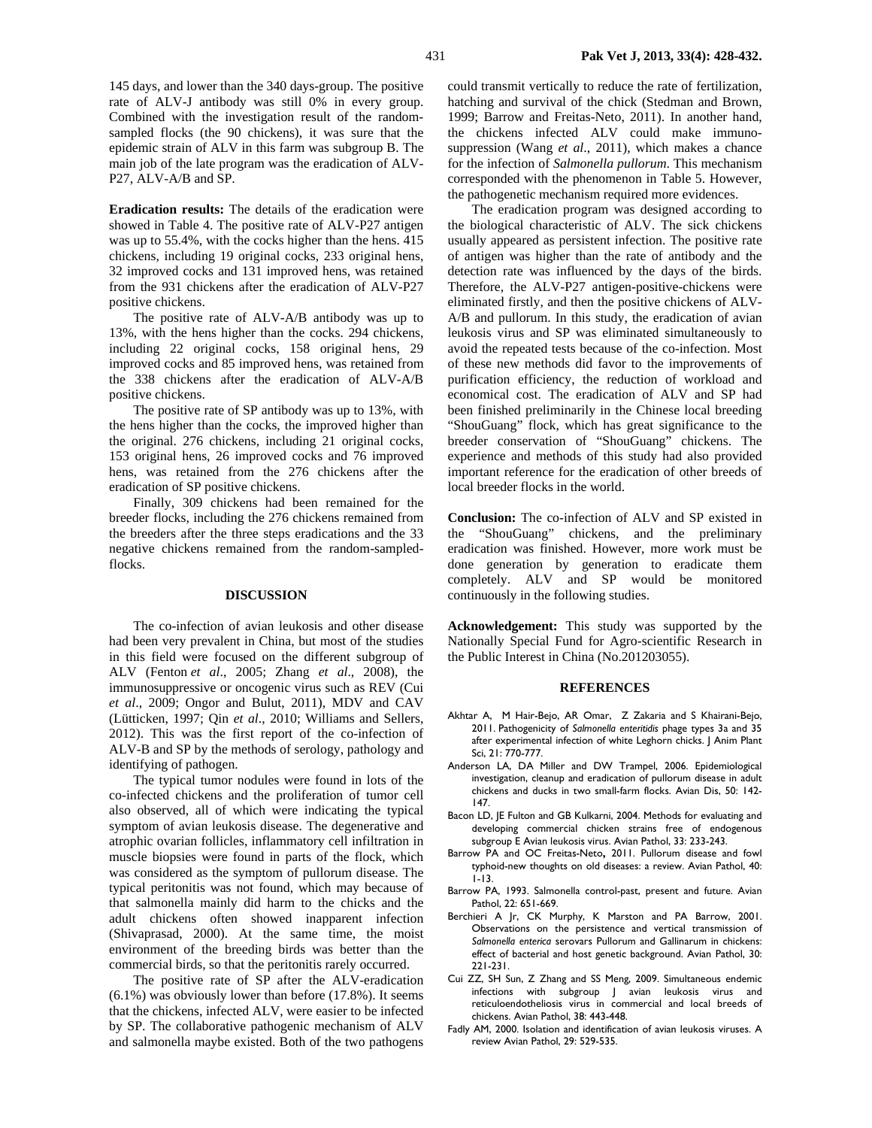145 days, and lower than the 340 days-group. The positive rate of ALV-J antibody was still 0% in every group. Combined with the investigation result of the randomsampled flocks (the 90 chickens), it was sure that the epidemic strain of ALV in this farm was subgroup B. The main job of the late program was the eradication of ALV-P27, ALV-A/B and SP.

**Eradication results:** The details of the eradication were showed in Table 4. The positive rate of ALV-P27 antigen was up to 55.4%, with the cocks higher than the hens. 415 chickens, including 19 original cocks, 233 original hens, 32 improved cocks and 131 improved hens, was retained from the 931 chickens after the eradication of ALV-P27 positive chickens.

The positive rate of ALV-A/B antibody was up to 13%, with the hens higher than the cocks. 294 chickens, including 22 original cocks, 158 original hens, 29 improved cocks and 85 improved hens, was retained from the 338 chickens after the eradication of ALV-A/B positive chickens.

The positive rate of SP antibody was up to 13%, with the hens higher than the cocks, the improved higher than the original. 276 chickens, including 21 original cocks, 153 original hens, 26 improved cocks and 76 improved hens, was retained from the 276 chickens after the eradication of SP positive chickens.

Finally, 309 chickens had been remained for the breeder flocks, including the 276 chickens remained from the breeders after the three steps eradications and the 33 negative chickens remained from the random-sampledflocks.

#### **DISCUSSION**

The co-infection of avian leukosis and other disease had been very prevalent in China, but most of the studies in this field were focused on the different subgroup of ALV (Fenton *et al*., 2005; Zhang *et al*., 2008), the immunosuppressive or oncogenic virus such as REV (Cui *et al*., 2009; Ongor and Bulut, 2011), MDV and CAV (Lütticken, 1997; Qin *et al*., 2010; Williams and Sellers, 2012). This was the first report of the co-infection of ALV-B and SP by the methods of serology, pathology and identifying of pathogen.

The typical tumor nodules were found in lots of the co-infected chickens and the proliferation of tumor cell also observed, all of which were indicating the typical symptom of avian leukosis disease. The degenerative and atrophic ovarian follicles, inflammatory cell infiltration in muscle biopsies were found in parts of the flock, which was considered as the symptom of pullorum disease. The typical peritonitis was not found, which may because of that salmonella mainly did harm to the chicks and the adult chickens often showed inapparent infection (Shivaprasad, 2000). At the same time, the moist environment of the breeding birds was better than the commercial birds, so that the peritonitis rarely occurred.

The positive rate of SP after the ALV-eradication (6.1%) was obviously lower than before (17.8%). It seems that the chickens, infected ALV, were easier to be infected by SP. The collaborative pathogenic mechanism of ALV and salmonella maybe existed. Both of the two pathogens could transmit vertically to reduce the rate of fertilization, hatching and survival of the chick (Stedman and Brown, 1999; Barrow and Freitas-Neto, 2011). In another hand, the chickens infected ALV could make immunosuppression (Wang *et al*., 2011), which makes a chance for the infection of *Salmonella pullorum*. This mechanism corresponded with the phenomenon in Table 5. However, the pathogenetic mechanism required more evidences.

The eradication program was designed according to the biological characteristic of ALV. The sick chickens usually appeared as persistent infection. The positive rate of antigen was higher than the rate of antibody and the detection rate was influenced by the days of the birds. Therefore, the ALV-P27 antigen-positive-chickens were eliminated firstly, and then the positive chickens of ALV-A/B and pullorum. In this study, the eradication of avian leukosis virus and SP was eliminated simultaneously to avoid the repeated tests because of the co-infection. Most of these new methods did favor to the improvements of purification efficiency, the reduction of workload and economical cost. The eradication of ALV and SP had been finished preliminarily in the Chinese local breeding "ShouGuang" flock, which has great significance to the breeder conservation of "ShouGuang" chickens. The experience and methods of this study had also provided important reference for the eradication of other breeds of local breeder flocks in the world.

**Conclusion:** The co-infection of ALV and SP existed in the "ShouGuang" chickens, and the preliminary eradication was finished. However, more work must be done generation by generation to eradicate them completely. ALV and SP would be monitored continuously in the following studies.

**Acknowledgement:** This study was supported by the Nationally Special Fund for Agro-scientific Research in the Public Interest in China (No.201203055).

#### **REFERENCES**

- Akhtar A, M Hair-Bejo, AR Omar, Z Zakaria and S Khairani-Bejo, 2011. Pathogenicity of *Salmonella enteritidis* phage types 3a and 35 after experimental infection of white Leghorn chicks. J Anim Plant Sci, 21: 770-777.
- Anderson LA, DA Miller and DW Trampel, 2006. Epidemiological investigation, cleanup and eradication of pullorum disease in adult chickens and ducks in two small-farm flocks. Avian Dis, 50: 142- 147.
- Bacon LD, JE Fulton and GB Kulkarni, 2004. Methods for evaluating and developing commercial chicken strains free of endogenous subgroup E Avian leukosis virus. Avian Pathol, 33: 233-243.
- Barrow PA and OC Freitas-Neto**,** 2011. Pullorum disease and fowl typhoid-new thoughts on old diseases: a review. Avian Pathol, 40: 1-13.
- Barrow PA, 1993. Salmonella control-past, present and future. Avian Pathol, 22: 651-669.
- Berchieri A Jr, CK Murphy, K Marston and PA Barrow, 2001. Observations on the persistence and vertical transmission of *Salmonella enterica* serovars Pullorum and Gallinarum in chickens: effect of bacterial and host genetic background. Avian Pathol, 30: 221-231.
- Cui ZZ, SH Sun, Z Zhang and SS Meng, 2009. Simultaneous endemic infections with subgroup J avian leukosis virus and reticuloendotheliosis virus in commercial and local breeds of chickens. Avian Pathol, 38: 443-448.
- Fadly AM, 2000. Isolation and identification of avian leukosis viruses. A review Avian Pathol, 29: 529-535.